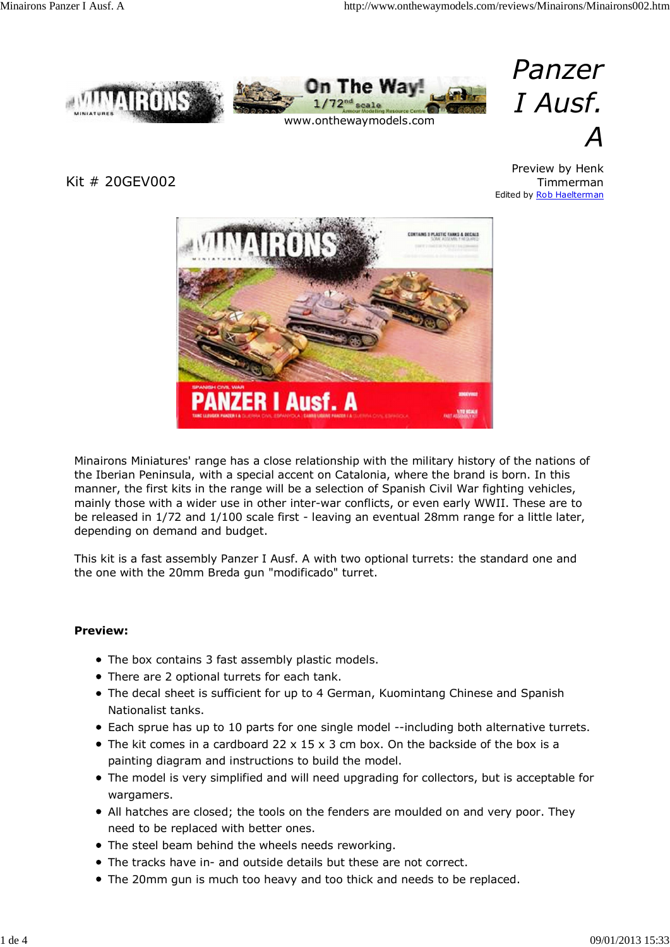

## Kit # 20GEV002

Preview by Henk Timmerman Edited by Rob Haelterman



Minairons Miniatures' range has a close relationship with the military history of the nations of the Iberian Peninsula, with a special accent on Catalonia, where the brand is born. In this manner, the first kits in the range will be a selection of Spanish Civil War fighting vehicles, mainly those with a wider use in other inter-war conflicts, or even early WWII. These are to be released in 1/72 and 1/100 scale first - leaving an eventual 28mm range for a little later, depending on demand and budget.

This kit is a fast assembly Panzer I Ausf. A with two optional turrets: the standard one and the one with the 20mm Breda gun "modificado" turret.

## **Preview:**

- The box contains 3 fast assembly plastic models.
- There are 2 optional turrets for each tank.
- The decal sheet is sufficient for up to 4 German, Kuomintang Chinese and Spanish Nationalist tanks.
- Each sprue has up to 10 parts for one single model --including both alternative turrets.
- $\bullet$  The kit comes in a cardboard 22 x 15 x 3 cm box. On the backside of the box is a painting diagram and instructions to build the model.
- The model is very simplified and will need upgrading for collectors, but is acceptable for wargamers.
- All hatches are closed; the tools on the fenders are moulded on and very poor. They need to be replaced with better ones.
- The steel beam behind the wheels needs reworking.
- The tracks have in- and outside details but these are not correct.
- The 20mm gun is much too heavy and too thick and needs to be replaced.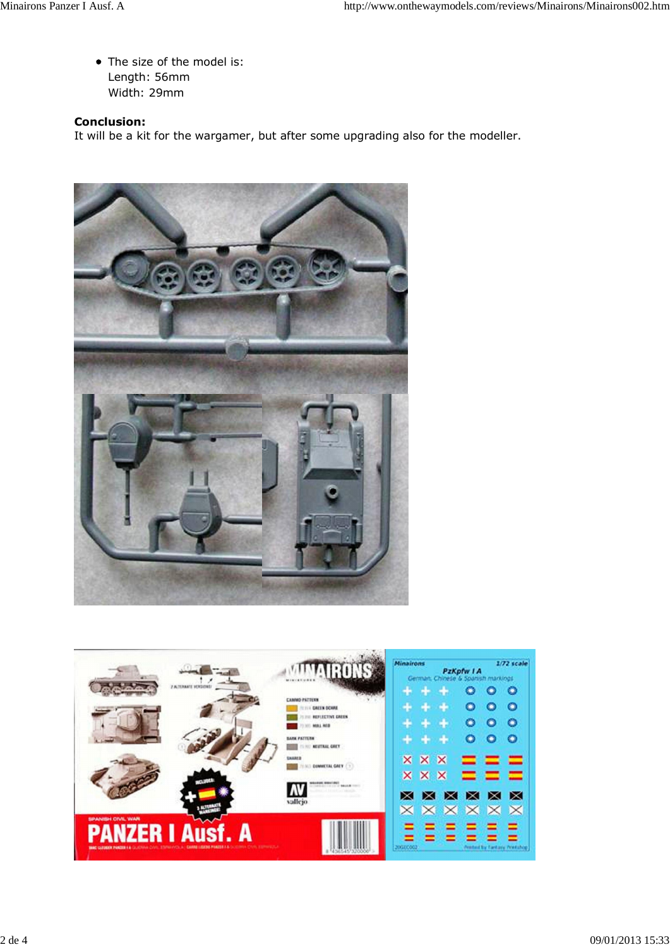• The size of the model is: Length: 56mm Width: 29mm

## **Conclusion:**

It will be a kit for the wargamer, but after some upgrading also for the modeller.



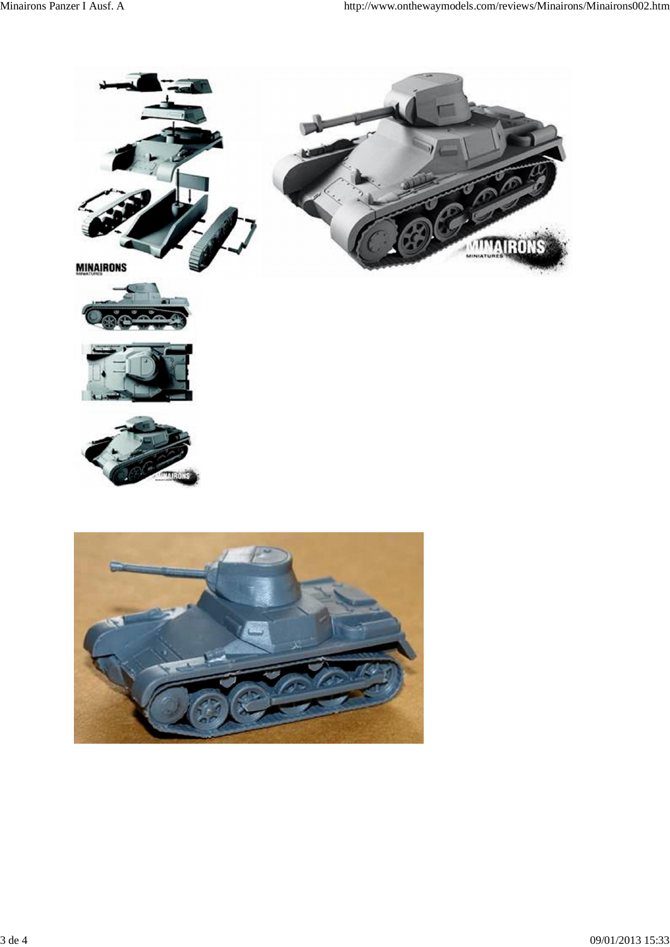